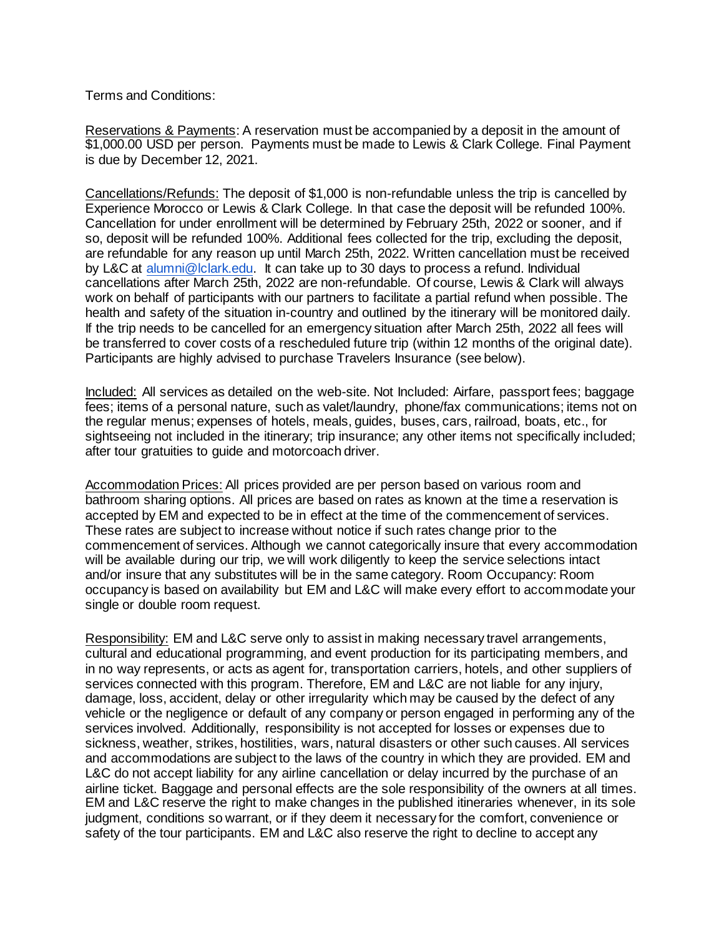Terms and Conditions:

Reservations & Payments: A reservation must be accompanied by a deposit in the amount of \$1,000.00 USD per person. Payments must be made to Lewis & Clark College. Final Payment is due by December 12, 2021.

Cancellations/Refunds: The deposit of \$1,000 is non-refundable unless the trip is cancelled by Experience Morocco or Lewis & Clark College. In that case the deposit will be refunded 100%. Cancellation for under enrollment will be determined by February 25th, 2022 or sooner, and if so, deposit will be refunded 100%. Additional fees collected for the trip, excluding the deposit, are refundable for any reason up until March 25th, 2022. Written cancellation must be received by L&C at [alumni@lclark.edu.](mailto:alumni@lclark.edu) It can take up to 30 days to process a refund. Individual cancellations after March 25th, 2022 are non-refundable. Of course, Lewis & Clark will always work on behalf of participants with our partners to facilitate a partial refund when possible. The health and safety of the situation in-country and outlined by the itinerary will be monitored daily. If the trip needs to be cancelled for an emergency situation after March 25th, 2022 all fees will be transferred to cover costs of a rescheduled future trip (within 12 months of the original date). Participants are highly advised to purchase Travelers Insurance (see below).

Included: All services as detailed on the web-site. Not Included: Airfare, passport fees; baggage fees; items of a personal nature, such as valet/laundry, phone/fax communications; items not on the regular menus; expenses of hotels, meals, guides, buses, cars, railroad, boats, etc., for sightseeing not included in the itinerary; trip insurance; any other items not specifically included; after tour gratuities to guide and motorcoach driver.

Accommodation Prices: All prices provided are per person based on various room and bathroom sharing options. All prices are based on rates as known at the time a reservation is accepted by EM and expected to be in effect at the time of the commencement of services. These rates are subject to increase without notice if such rates change prior to the commencement of services. Although we cannot categorically insure that every accommodation will be available during our trip, we will work diligently to keep the service selections intact and/or insure that any substitutes will be in the same category. Room Occupancy: Room occupancy is based on availability but EM and L&C will make every effort to accommodate your single or double room request.

Responsibility: EM and L&C serve only to assist in making necessary travel arrangements, cultural and educational programming, and event production for its participating members, and in no way represents, or acts as agent for, transportation carriers, hotels, and other suppliers of services connected with this program. Therefore, EM and L&C are not liable for any injury, damage, loss, accident, delay or other irregularity which may be caused by the defect of any vehicle or the negligence or default of any company or person engaged in performing any of the services involved. Additionally, responsibility is not accepted for losses or expenses due to sickness, weather, strikes, hostilities, wars, natural disasters or other such causes. All services and accommodations are subject to the laws of the country in which they are provided. EM and L&C do not accept liability for any airline cancellation or delay incurred by the purchase of an airline ticket. Baggage and personal effects are the sole responsibility of the owners at all times. EM and L&C reserve the right to make changes in the published itineraries whenever, in its sole judgment, conditions so warrant, or if they deem it necessary for the comfort, convenience or safety of the tour participants. EM and L&C also reserve the right to decline to accept any